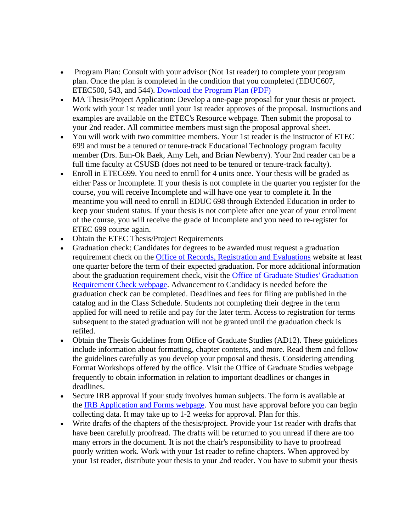- Program Plan: Consult with your advisor (Not 1st reader) to complete your program plan. Once the plan is completed in the condition that you completed (EDUC607, ETEC500, 543, and 544). [Download the Program Plan](https://www.csusb.edu/sites/default/files/GAPP_ETEC_03-04.pdf) (PDF)
- MA Thesis/Project Application: Develop a one-page proposal for your thesis or project. Work with your 1st reader until your 1st reader approves of the proposal. Instructions and examples are available on the ETEC's Resource webpage. Then submit the proposal to your 2nd reader. All committee members must sign the proposal approval sheet.
- You will work with two committee members. Your 1st reader is the instructor of ETEC 699 and must be a tenured or tenure-track Educational Technology program faculty member (Drs. Eun-Ok Baek, Amy Leh, and Brian Newberry). Your 2nd reader can be a full time faculty at CSUSB (does not need to be tenured or tenure-track faculty).
- Enroll in ETEC699. You need to enroll for 4 units once. Your thesis will be graded as either Pass or Incomplete. If your thesis is not complete in the quarter you register for the course, you will receive Incomplete and will have one year to complete it. In the meantime you will need to enroll in EDUC 698 through Extended Education in order to keep your student status. If your thesis is not complete after one year of your enrollment of the course, you will receive the grade of Incomplete and you need to re-register for ETEC 699 course again.
- Obtain the ETEC Thesis/Project Requirements
- Graduation check: Candidates for degrees to be awarded must request a graduation requirement check on the [Office of Records, Registration and Evaluations](https://www.csusb.edu/registrar) website at least one quarter before the term of their expected graduation. For more additional information about the graduation requirement check, visit the [Office of Graduate Studies' Graduation](https://www.csusb.edu/registrar/all-forms)  [Requirement Check webpage.](https://www.csusb.edu/registrar/all-forms) Advancement to Candidacy is needed before the graduation check can be completed. Deadlines and fees for filing are published in the catalog and in the Class Schedule. Students not completing their degree in the term applied for will need to refile and pay for the later term. Access to registration for terms subsequent to the stated graduation will not be granted until the graduation check is refiled.
- Obtain the Thesis Guidelines from Office of Graduate Studies (AD12). These guidelines include information about formatting, chapter contents, and more. Read them and follow the guidelines carefully as you develop your proposal and thesis. Considering attending Format Workshops offered by the office. Visit the Office of Graduate Studies webpage frequently to obtain information in relation to important deadlines or changes in deadlines.
- Secure IRB approval if your study involves human subjects. The form is available at the [IRB Application and Forms webpage.](http://irb.csusb.edu/applicationForms/) You must have approval before you can begin collecting data. It may take up to 1-2 weeks for approval. Plan for this.
- Write drafts of the chapters of the thesis/project. Provide your 1st reader with drafts that have been carefully proofread. The drafts will be returned to you unread if there are too many errors in the document. It is not the chair's responsibility to have to proofread poorly written work. Work with your 1st reader to refine chapters. When approved by your 1st reader, distribute your thesis to your 2nd reader. You have to submit your thesis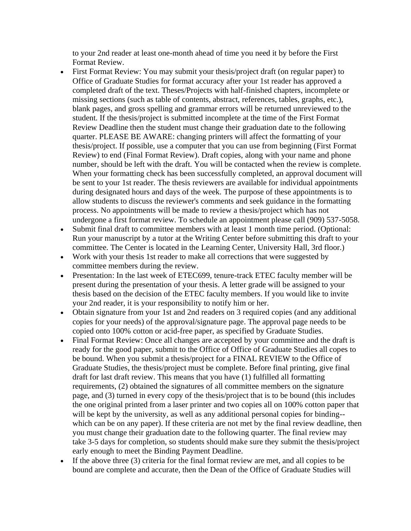to your 2nd reader at least one-month ahead of time you need it by before the First Format Review.

- First Format Review: You may submit your thesis/project draft (on regular paper) to Office of Graduate Studies for format accuracy after your 1st reader has approved a completed draft of the text. Theses/Projects with half-finished chapters, incomplete or missing sections (such as table of contents, abstract, references, tables, graphs, etc.), blank pages, and gross spelling and grammar errors will be returned unreviewed to the student. If the thesis/project is submitted incomplete at the time of the First Format Review Deadline then the student must change their graduation date to the following quarter. PLEASE BE AWARE: changing printers will affect the formatting of your thesis/project. If possible, use a computer that you can use from beginning (First Format Review) to end (Final Format Review). Draft copies, along with your name and phone number, should be left with the draft. You will be contacted when the review is complete. When your formatting check has been successfully completed, an approval document will be sent to your 1st reader. The thesis reviewers are available for individual appointments during designated hours and days of the week. The purpose of these appointments is to allow students to discuss the reviewer's comments and seek guidance in the formatting process. No appointments will be made to review a thesis/project which has not undergone a first format review. To schedule an appointment please call (909) 537-5058.
- Submit final draft to committee members with at least 1 month time period. (Optional: Run your manuscript by a tutor at the Writing Center before submitting this draft to your committee. The Center is located in the Learning Center, University Hall, 3rd floor.)
- Work with your thesis 1st reader to make all corrections that were suggested by committee members during the review.
- Presentation: In the last week of ETEC699, tenure-track ETEC faculty member will be present during the presentation of your thesis. A letter grade will be assigned to your thesis based on the decision of the ETEC faculty members. If you would like to invite your 2nd reader, it is your responsibility to notify him or her.
- Obtain signature from your 1st and 2nd readers on 3 required copies (and any additional copies for your needs) of the approval/signature page. The approval page needs to be copied onto 100% cotton or acid-free paper, as specified by Graduate Studies.
- Final Format Review: Once all changes are accepted by your committee and the draft is ready for the good paper, submit to the Office of Office of Graduate Studies all copes to be bound. When you submit a thesis/project for a FINAL REVIEW to the Office of Graduate Studies, the thesis/project must be complete. Before final printing, give final draft for last draft review. This means that you have (1) fulfilled all formatting requirements, (2) obtained the signatures of all committee members on the signature page, and (3) turned in every copy of the thesis/project that is to be bound (this includes the one original printed from a laser printer and two copies all on 100% cotton paper that will be kept by the university, as well as any additional personal copies for binding-which can be on any paper). If these criteria are not met by the final review deadline, then you must change their graduation date to the following quarter. The final review may take 3-5 days for completion, so students should make sure they submit the thesis/project early enough to meet the Binding Payment Deadline.
- If the above three (3) criteria for the final format review are met, and all copies to be bound are complete and accurate, then the Dean of the Office of Graduate Studies will